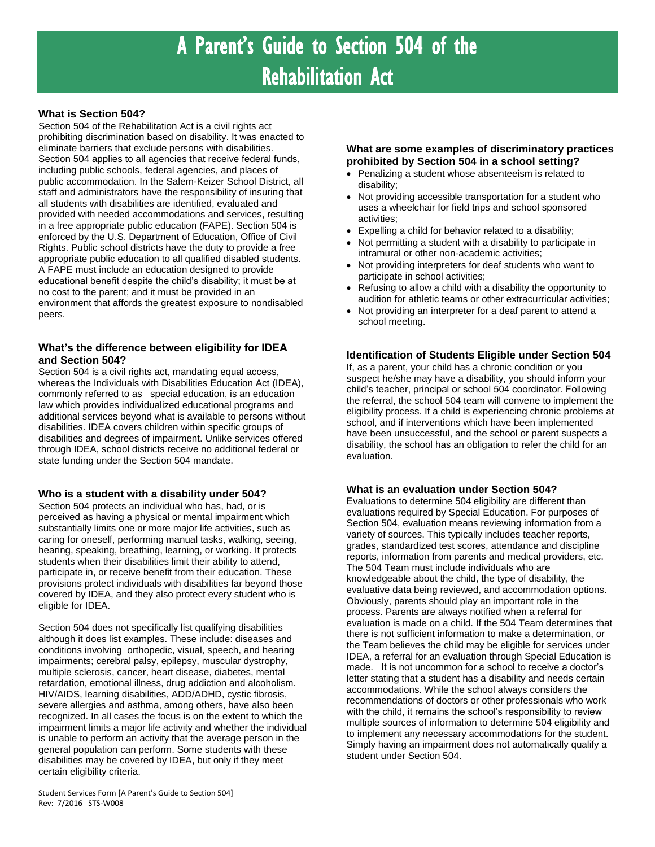# A Parent's Guide to Section 504 of the Rehabilitation Act

## **What is Section 504?**

Section 504 of the Rehabilitation Act is a civil rights act prohibiting discrimination based on disability. It was enacted to eliminate barriers that exclude persons with disabilities. Section 504 applies to all agencies that receive federal funds, including public schools, federal agencies, and places of public accommodation. In the Salem-Keizer School District, all staff and administrators have the responsibility of insuring that all students with disabilities are identified, evaluated and provided with needed accommodations and services, resulting in a free appropriate public education (FAPE). Section 504 is enforced by the U.S. Department of Education, Office of Civil Rights. Public school districts have the duty to provide a free appropriate public education to all qualified disabled students. A FAPE must include an education designed to provide educational benefit despite the child's disability; it must be at no cost to the parent; and it must be provided in an environment that affords the greatest exposure to nondisabled peers.

## **What's the difference between eligibility for IDEA and Section 504?**

Section 504 is a civil rights act, mandating equal access, whereas the Individuals with Disabilities Education Act (IDEA), commonly referred to as special education, is an education law which provides individualized educational programs and additional services beyond what is available to persons without disabilities. IDEA covers children within specific groups of disabilities and degrees of impairment. Unlike services offered through IDEA, school districts receive no additional federal or state funding under the Section 504 mandate.

## **Who is a student with a disability under 504?**

Section 504 protects an individual who has, had, or is perceived as having a physical or mental impairment which substantially limits one or more major life activities, such as caring for oneself, performing manual tasks, walking, seeing, hearing, speaking, breathing, learning, or working. It protects students when their disabilities limit their ability to attend, participate in, or receive benefit from their education. These provisions protect individuals with disabilities far beyond those covered by IDEA, and they also protect every student who is eligible for IDEA.

Section 504 does not specifically list qualifying disabilities although it does list examples. These include: diseases and conditions involving orthopedic, visual, speech, and hearing impairments; cerebral palsy, epilepsy, muscular dystrophy, multiple sclerosis, cancer, heart disease, diabetes, mental retardation, emotional illness, drug addiction and alcoholism. HIV/AIDS, learning disabilities, ADD/ADHD, cystic fibrosis, severe allergies and asthma, among others, have also been recognized. In all cases the focus is on the extent to which the impairment limits a major life activity and whether the individual is unable to perform an activity that the average person in the general population can perform. Some students with these disabilities may be covered by IDEA, but only if they meet certain eligibility criteria.

#### **What are some examples of discriminatory practices prohibited by Section 504 in a school setting?**

- Penalizing a student whose absenteeism is related to disability;
- Not providing accessible transportation for a student who uses a wheelchair for field trips and school sponsored activities;
- Expelling a child for behavior related to a disability;
- Not permitting a student with a disability to participate in intramural or other non-academic activities;
- Not providing interpreters for deaf students who want to participate in school activities;
- Refusing to allow a child with a disability the opportunity to audition for athletic teams or other extracurricular activities;
- Not providing an interpreter for a deaf parent to attend a school meeting.

#### **Identification of Students Eligible under Section 504**

If, as a parent, your child has a chronic condition or you suspect he/she may have a disability, you should inform your child's teacher, principal or school 504 coordinator. Following the referral, the school 504 team will convene to implement the eligibility process. If a child is experiencing chronic problems at school, and if interventions which have been implemented have been unsuccessful, and the school or parent suspects a disability, the school has an obligation to refer the child for an evaluation.

#### **What is an evaluation under Section 504?**

Evaluations to determine 504 eligibility are different than evaluations required by Special Education. For purposes of Section 504, evaluation means reviewing information from a variety of sources. This typically includes teacher reports, grades, standardized test scores, attendance and discipline reports, information from parents and medical providers, etc. The 504 Team must include individuals who are knowledgeable about the child, the type of disability, the evaluative data being reviewed, and accommodation options. Obviously, parents should play an important role in the process. Parents are always notified when a referral for evaluation is made on a child. If the 504 Team determines that there is not sufficient information to make a determination, or the Team believes the child may be eligible for services under IDEA, a referral for an evaluation through Special Education is made. It is not uncommon for a school to receive a doctor's letter stating that a student has a disability and needs certain accommodations. While the school always considers the recommendations of doctors or other professionals who work with the child, it remains the school's responsibility to review multiple sources of information to determine 504 eligibility and to implement any necessary accommodations for the student. Simply having an impairment does not automatically qualify a student under Section 504.